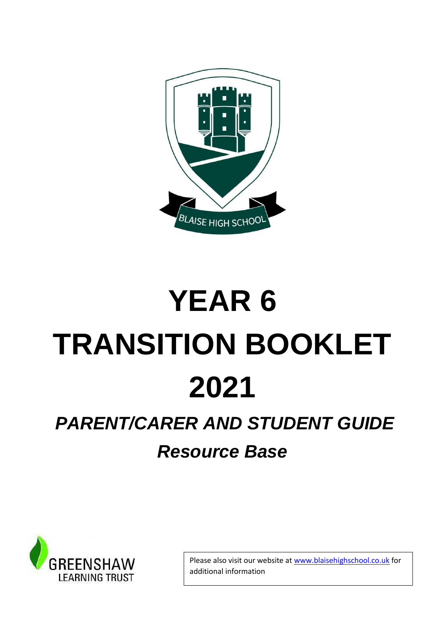

# **YEAR 6 TRANSITION BOOKLET 2021** *PARENT/CARER AND STUDENT GUIDE*

### *Resource Base*



Please also visit our website at www.blaisehighschool.co.uk for additional information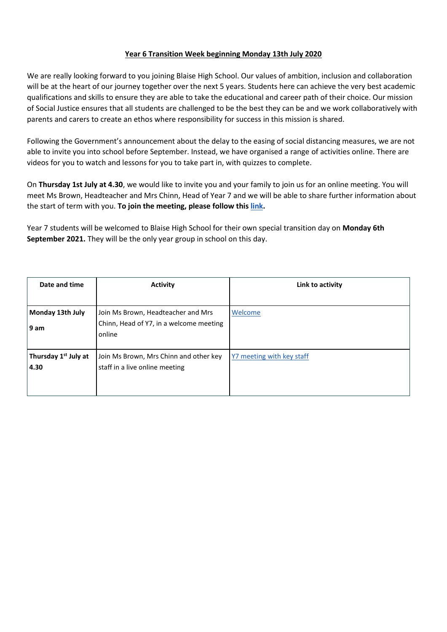#### **Year 6 Transition Week beginning Monday 13th July 2020**

We are really looking forward to you joining Blaise High School. Our values of ambition, inclusion and collaboration will be at the heart of our journey together over the next 5 years. Students here can achieve the very best academic qualifications and skills to ensure they are able to take the educational and career path of their choice. Our mission of Social Justice ensures that all students are challenged to be the best they can be and we work collaboratively with parents and carers to create an ethos where responsibility for success in this mission is shared.

Following the Government's announcement about the delay to the easing of social distancing measures, we are not able to invite you into school before September. Instead, we have organised a range of activities online. There are videos for you to watch and lessons for you to take part in, with quizzes to complete.

On **Thursday 1st July at 4.30**, we would like to invite you and your family to join us for an online meeting. You will meet Ms Brown, Headteacher and Mrs Chinn, Head of Year 7 and we will be able to share further information about the start of term with you. **To join the meeting, please follow this [link.](https://www.crowdcast.io/e/virtual-transition)**

Year 7 students will be welcomed to Blaise High School for their own special transition day on **Monday 6th September 2021.** They will be the only year group in school on this day.

| Date and time                            | <b>Activity</b>                                                                         | Link to activity          |
|------------------------------------------|-----------------------------------------------------------------------------------------|---------------------------|
| Monday 13th July<br>l 9 am               | Join Ms Brown, Headteacher and Mrs<br>Chinn, Head of Y7, in a welcome meeting<br>online | Welcome                   |
| Thursday 1 <sup>st</sup> July at<br>4.30 | Join Ms Brown, Mrs Chinn and other key<br>staff in a live online meeting                | Y7 meeting with key staff |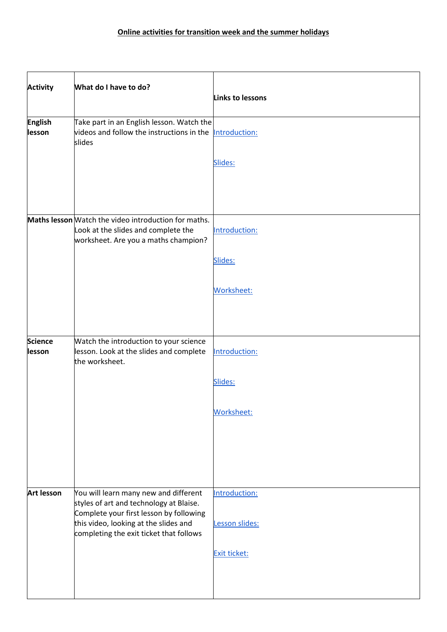| <b>Activity</b>          | What do I have to do?                                                                                                                                                                                           | Links to lessons                |
|--------------------------|-----------------------------------------------------------------------------------------------------------------------------------------------------------------------------------------------------------------|---------------------------------|
| <b>English</b><br>lesson | Take part in an English lesson. Watch the<br>videos and follow the instructions in the<br>slides                                                                                                                | Introduction:                   |
|                          |                                                                                                                                                                                                                 | Slides:                         |
|                          | Maths lesson Watch the video introduction for maths.<br>Look at the slides and complete the<br>worksheet. Are you a maths champion?                                                                             | Introduction:                   |
|                          |                                                                                                                                                                                                                 | Slides:                         |
|                          |                                                                                                                                                                                                                 | Worksheet:                      |
| <b>Science</b><br>lesson | Watch the introduction to your science<br>lesson. Look at the slides and complete<br>the worksheet.                                                                                                             | Introduction:<br>Slides:        |
|                          |                                                                                                                                                                                                                 | Worksheet:                      |
|                          |                                                                                                                                                                                                                 |                                 |
| <b>Art lesson</b>        | You will learn many new and different<br>styles of art and technology at Blaise.<br>Complete your first lesson by following<br>this video, looking at the slides and<br>completing the exit ticket that follows | Introduction:<br>Lesson slides: |
|                          |                                                                                                                                                                                                                 | Exit ticket:                    |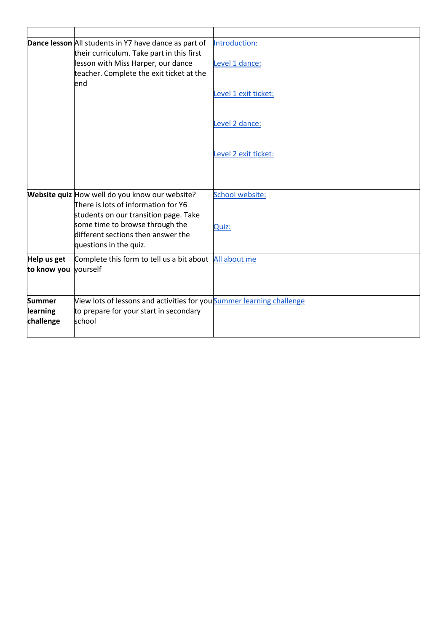|                                        | Dance lesson All students in Y7 have dance as part of<br>their curriculum. Take part in this first                             | Introduction:        |
|----------------------------------------|--------------------------------------------------------------------------------------------------------------------------------|----------------------|
|                                        | lesson with Miss Harper, our dance<br>teacher. Complete the exit ticket at the<br>end                                          | Level 1 dance:       |
|                                        |                                                                                                                                | Level 1 exit ticket: |
|                                        |                                                                                                                                | Level 2 dance:       |
|                                        |                                                                                                                                | Level 2 exit ticket: |
|                                        | Website quiz How well do you know our website?<br>There is lots of information for Y6<br>students on our transition page. Take | School website:      |
|                                        | some time to browse through the<br>different sections then answer the<br>questions in the quiz.                                | Quiz:                |
| Help us get<br>to know you             | Complete this form to tell us a bit about All about me<br>yourself                                                             |                      |
| <b>Summer</b><br>learning<br>challenge | View lots of lessons and activities for you Summer learning challenge<br>to prepare for your start in secondary<br>school      |                      |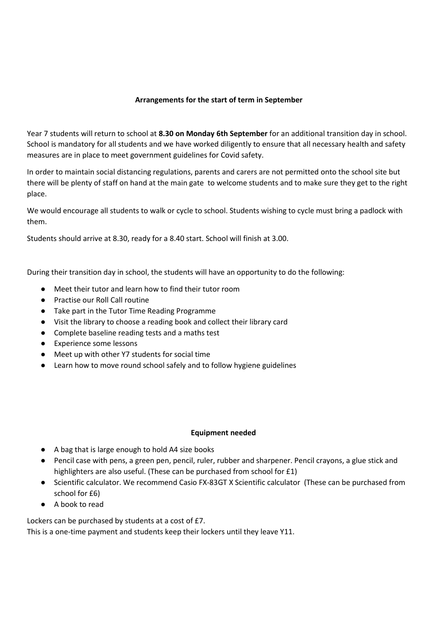#### **Arrangements for the start of term in September**

Year 7 students will return to school at **8.30 on Monday 6th September** for an additional transition day in school. School is mandatory for all students and we have worked diligently to ensure that all necessary health and safety measures are in place to meet government guidelines for Covid safety.

In order to maintain social distancing regulations, parents and carers are not permitted onto the school site but there will be plenty of staff on hand at the main gate to welcome students and to make sure they get to the right place.

We would encourage all students to walk or cycle to school. Students wishing to cycle must bring a padlock with them.

Students should arrive at 8.30, ready for a 8.40 start. School will finish at 3.00.

During their transition day in school, the students will have an opportunity to do the following:

- Meet their tutor and learn how to find their tutor room
- Practise our Roll Call routine
- Take part in the Tutor Time Reading Programme
- Visit the library to choose a reading book and collect their library card
- Complete baseline reading tests and a maths test
- Experience some lessons
- Meet up with other Y7 students for social time
- Learn how to move round school safely and to follow hygiene guidelines

#### **Equipment needed**

- A bag that is large enough to hold A4 size books
- Pencil case with pens, a green pen, pencil, ruler, rubber and sharpener. Pencil crayons, a glue stick and highlighters are also useful. (These can be purchased from school for £1)
- Scientific calculator. We recommend Casio FX-83GT X Scientific calculator (These can be purchased from school for £6)
- A book to read

Lockers can be purchased by students at a cost of £7.

This is a one-time payment and students keep their lockers until they leave Y11.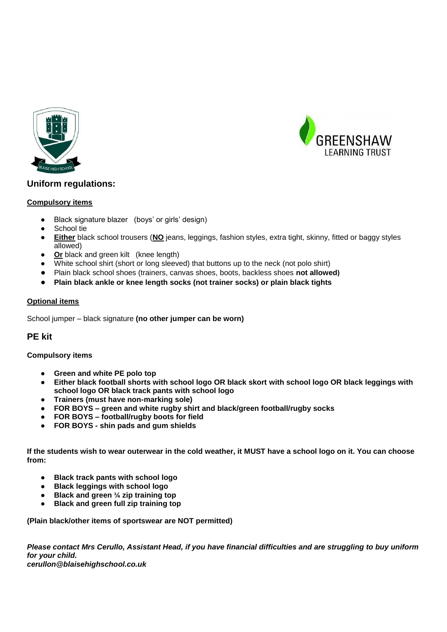



#### **Uniform regulations:**

#### **Compulsory items**

- Black signature blazer (boys' or girls' design)
- School tie
- **Either** black school trousers (**NO** jeans, leggings, fashion styles, extra tight, skinny, fitted or baggy styles allowed)
- **Or** black and green kilt (knee length)
- White school shirt (short or long sleeved) that buttons up to the neck (not polo shirt)
- Plain black school shoes (trainers, canvas shoes, boots, backless shoes **not allowed)**
- **Plain black ankle or knee length socks (not trainer socks) or plain black tights**

#### **Optional items**

School jumper – black signature **(no other jumper can be worn)**

#### **PE kit**

#### **Compulsory items**

- **Green and white PE polo top**
- **Either black football shorts with school logo OR black skort with school logo OR black leggings with school logo OR black track pants with school logo**
- **Trainers (must have non-marking sole)**
- **FOR BOYS – green and white rugby shirt and black/green football/rugby socks**
- **FOR BOYS – football/rugby boots for field**
- **FOR BOYS - shin pads and gum shields**

**If the students wish to wear outerwear in the cold weather, it MUST have a school logo on it. You can choose from:**

- **Black track pants with school logo**
- **Black leggings with school logo**
- **Black and green 1/4 zip training top**
- **Black and green full zip training top**

**(Plain black/other items of sportswear are NOT permitted)**

*Please contact Mrs Cerullo, Assistant Head, if you have financial difficulties and are struggling to buy uniform for your child. cerullon@blaisehighschool.co.uk*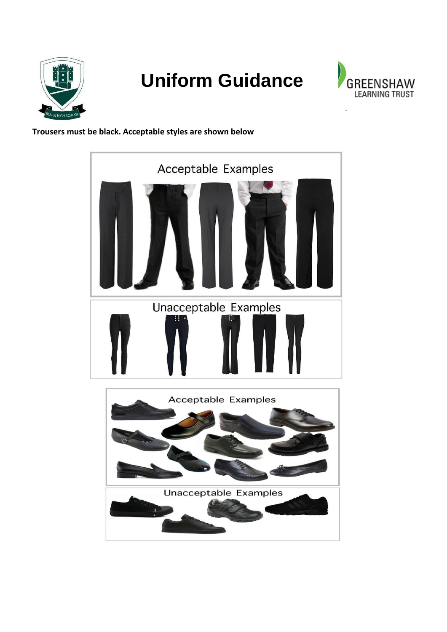

## **Uniform Guidance**



.

#### **Trousers must be black. Acceptable styles are shown below**



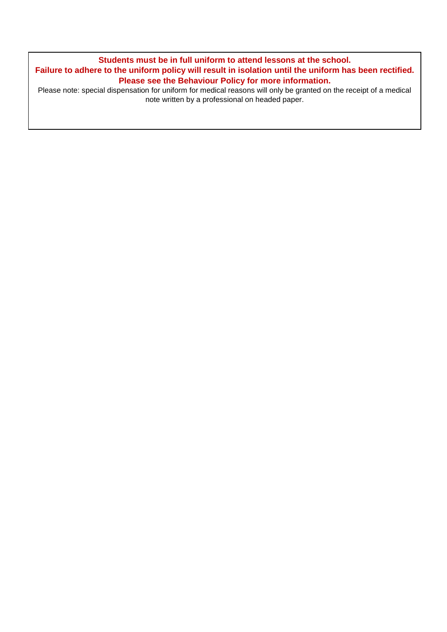**Students must be in full uniform to attend lessons at the school. Failure to adhere to the uniform policy will result in isolation until the uniform has been rectified. Please see the Behaviour Policy for more information.**

Please note: special dispensation for uniform for medical reasons will only be granted on the receipt of a medical note written by a professional on headed paper.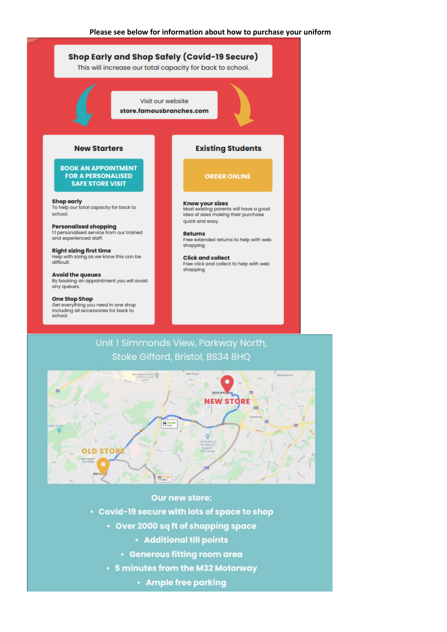



#### Our new store:

• Covid-19 secure with lots of space to shop

- Over 2000 sq ft of shopping space
	- Additional till points
	- Generous fitting room area
- 5 minutes from the M32 Motorway
	- · Ample free parking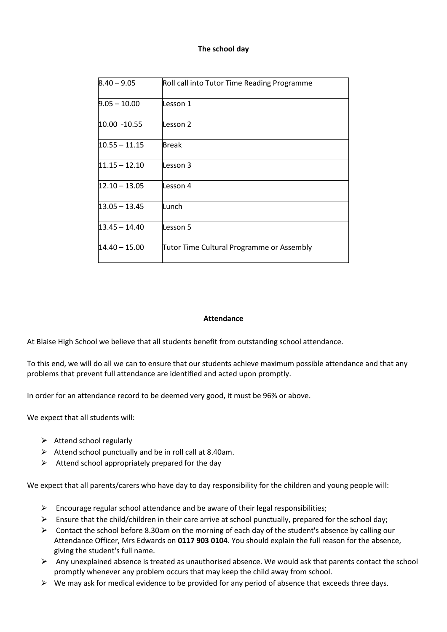#### **The school day**

| $8.40 - 9.05$   | Roll call into Tutor Time Reading Programme |
|-----------------|---------------------------------------------|
| $9.05 - 10.00$  | Lesson 1                                    |
| 10.00 -10.55    | Lesson 2                                    |
| $10.55 - 11.15$ | Break                                       |
| $11.15 - 12.10$ | Lesson 3                                    |
| $12.10 - 13.05$ | Lesson 4                                    |
| $13.05 - 13.45$ | Lunch                                       |
| $13.45 - 14.40$ | Lesson 5                                    |
| $14.40 - 15.00$ | Tutor Time Cultural Programme or Assembly   |

#### **Attendance**

At Blaise High School we believe that all students benefit from outstanding school attendance.

To this end, we will do all we can to ensure that our students achieve maximum possible attendance and that any problems that prevent full attendance are identified and acted upon promptly.

In order for an attendance record to be deemed very good, it must be 96% or above.

We expect that all students will:

- $\triangleright$  Attend school regularly
- $\triangleright$  Attend school punctually and be in roll call at 8.40am.
- $\triangleright$  Attend school appropriately prepared for the day

We expect that all parents/carers who have day to day responsibility for the children and young people will:

- $\triangleright$  Encourage regular school attendance and be aware of their legal responsibilities;
- $\triangleright$  Ensure that the child/children in their care arrive at school punctually, prepared for the school day;
- $\triangleright$  Contact the school before 8.30am on the morning of each day of the student's absence by calling our Attendance Officer, Mrs Edwards on **0117 903 0104**. You should explain the full reason for the absence, giving the student's full name.
- $\triangleright$  Any unexplained absence is treated as unauthorised absence. We would ask that parents contact the school promptly whenever any problem occurs that may keep the child away from school.
- $\triangleright$  We may ask for medical evidence to be provided for any period of absence that exceeds three days.